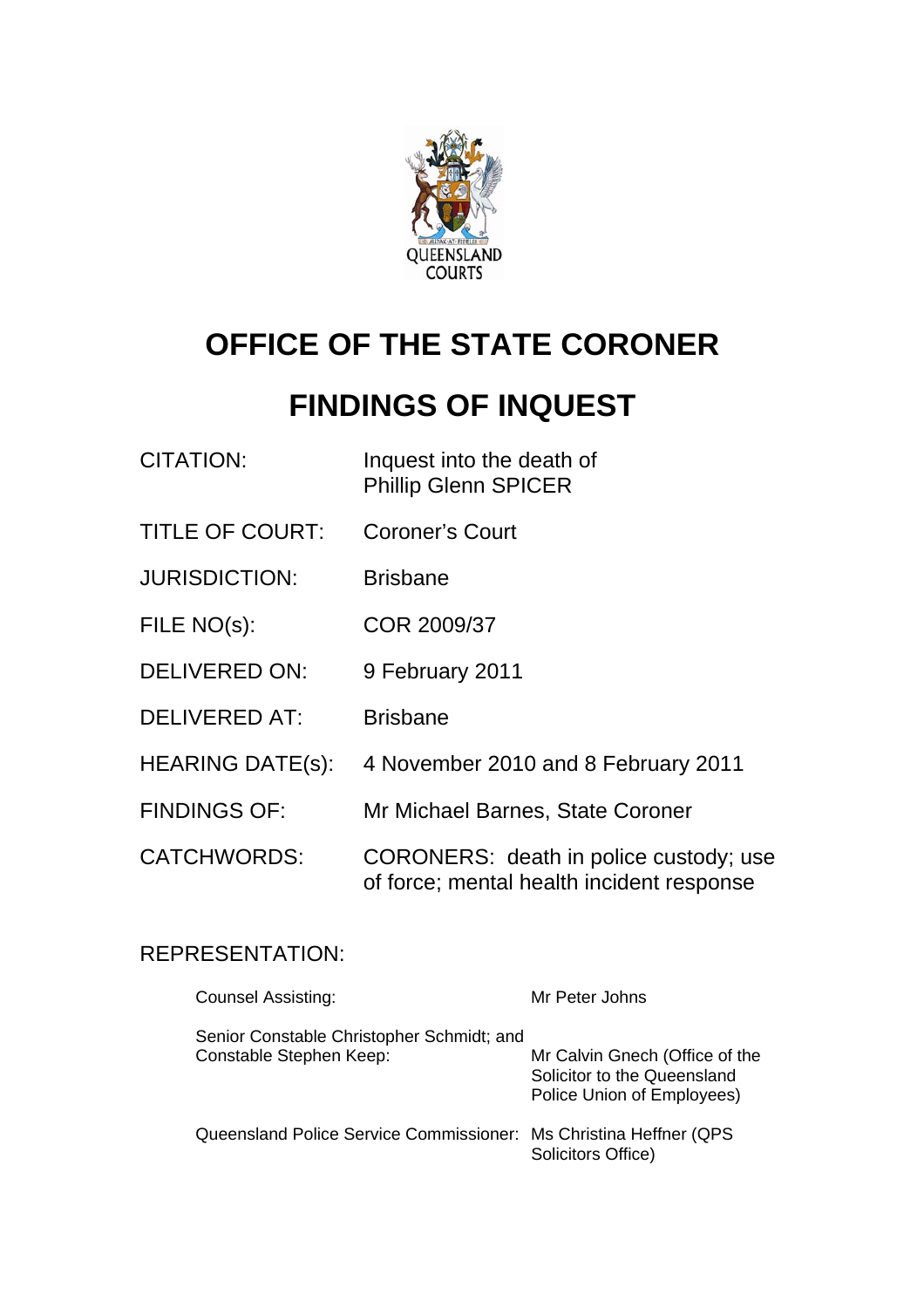

# **OFFICE OF THE STATE CORONER**

# **FINDINGS OF INQUEST**

| <b>CITATION:</b>        | Inquest into the death of<br><b>Phillip Glenn SPICER</b>                            |
|-------------------------|-------------------------------------------------------------------------------------|
| <b>TITLE OF COURT:</b>  | <b>Coroner's Court</b>                                                              |
| <b>JURISDICTION:</b>    | <b>Brisbane</b>                                                                     |
| FILE NO(s):             | COR 2009/37                                                                         |
| <b>DELIVERED ON:</b>    | 9 February 2011                                                                     |
| <b>DELIVERED AT:</b>    | <b>Brisbane</b>                                                                     |
| <b>HEARING DATE(s):</b> | 4 November 2010 and 8 February 2011                                                 |
| <b>FINDINGS OF:</b>     | Mr Michael Barnes, State Coroner                                                    |
| <b>CATCHWORDS:</b>      | CORONERS: death in police custody; use<br>of force; mental health incident response |

## REPRESENTATION:

| Counsel Assisting:                                                   | Mr Peter Johns                                                                              |
|----------------------------------------------------------------------|---------------------------------------------------------------------------------------------|
| Senior Constable Christopher Schmidt; and<br>Constable Stephen Keep: | Mr Calvin Gnech (Office of the<br>Solicitor to the Queensland<br>Police Union of Employees) |
| Queensland Police Service Commissioner: Ms Christina Heffner (QPS)   | Solicitors Office)                                                                          |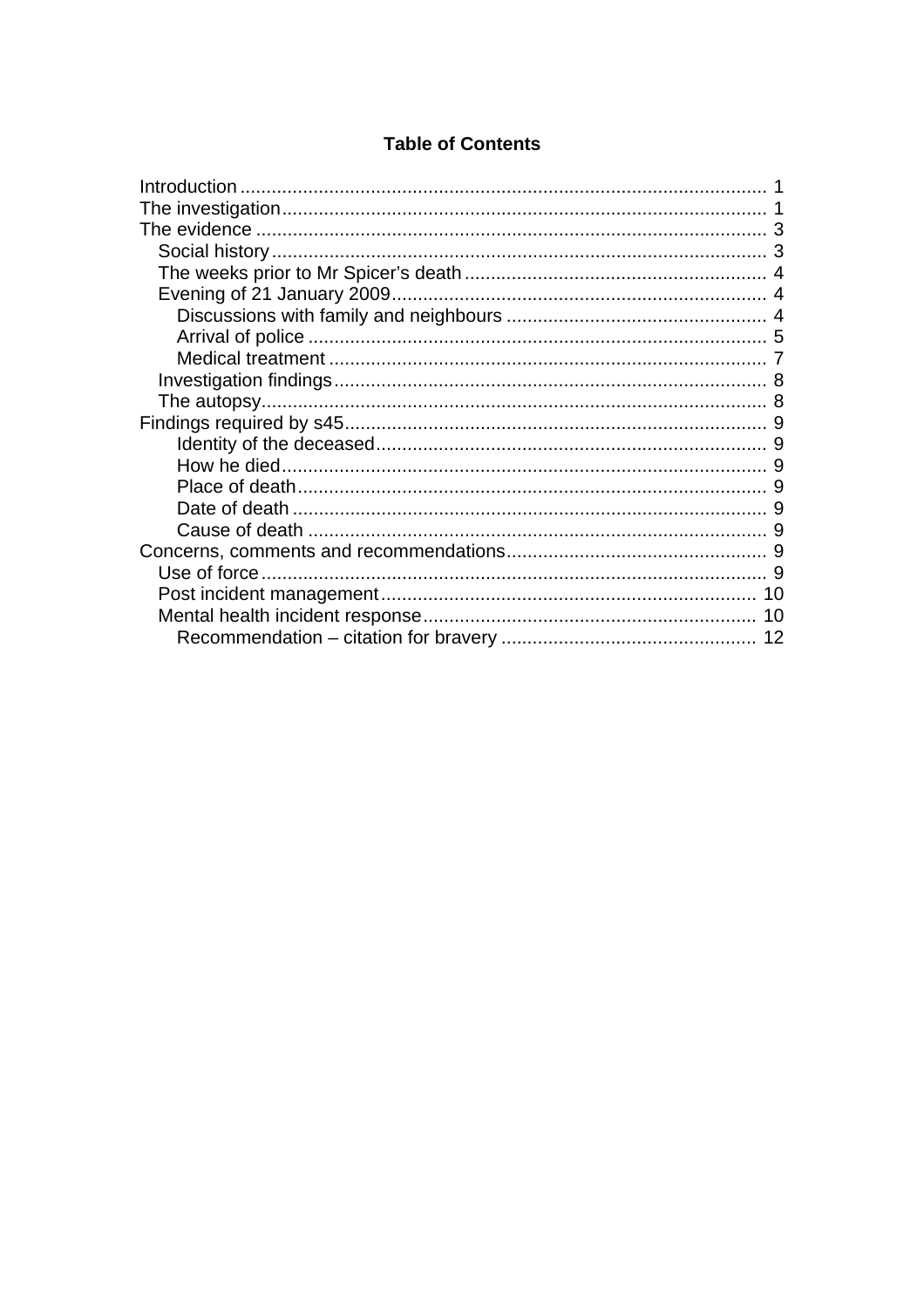#### **Table of Contents**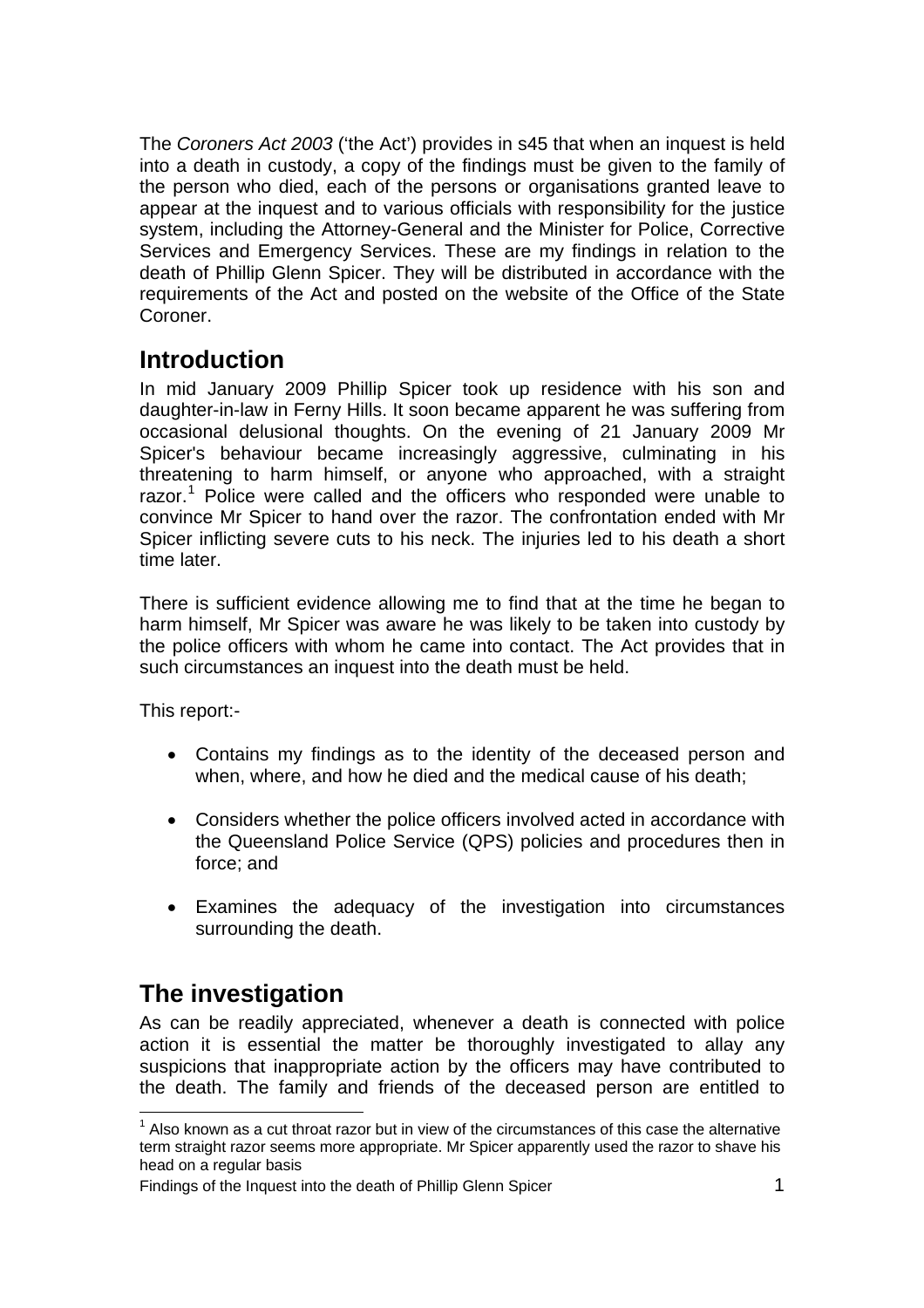<span id="page-2-0"></span>The *Coroners Act 2003* ('the Act') provides in s45 that when an inquest is held into a death in custody, a copy of the findings must be given to the family of the person who died, each of the persons or organisations granted leave to appear at the inquest and to various officials with responsibility for the justice system, including the Attorney-General and the Minister for Police, Corrective Services and Emergency Services. These are my findings in relation to the death of Phillip Glenn Spicer. They will be distributed in accordance with the requirements of the Act and posted on the website of the Office of the State Coroner.

## **Introduction**

In mid January 2009 Phillip Spicer took up residence with his son and daughter-in-law in Ferny Hills. It soon became apparent he was suffering from occasional delusional thoughts. On the evening of 21 January 2009 Mr Spicer's behaviour became increasingly aggressive, culminating in his threatening to harm himself, or anyone who approached, with a straight razor.<sup>[1](#page-2-1)</sup> Police were called and the officers who responded were unable to convince Mr Spicer to hand over the razor. The confrontation ended with Mr Spicer inflicting severe cuts to his neck. The injuries led to his death a short time later.

There is sufficient evidence allowing me to find that at the time he began to harm himself, Mr Spicer was aware he was likely to be taken into custody by the police officers with whom he came into contact. The Act provides that in such circumstances an inquest into the death must be held.

This report:-

- Contains my findings as to the identity of the deceased person and when, where, and how he died and the medical cause of his death;
- Considers whether the police officers involved acted in accordance with the Queensland Police Service (QPS) policies and procedures then in force; and
- Examines the adequacy of the investigation into circumstances surrounding the death.

# **The investigation**

As can be readily appreciated, whenever a death is connected with police action it is essential the matter be thoroughly investigated to allay any suspicions that inappropriate action by the officers may have contributed to the death. The family and friends of the deceased person are entitled to

<span id="page-2-1"></span>l  $1$  Also known as a cut throat razor but in view of the circumstances of this case the alternative term straight razor seems more appropriate. Mr Spicer apparently used the razor to shave his head on a regular basis

Findings of the Inquest into the death of Phillip Glenn Spicer 1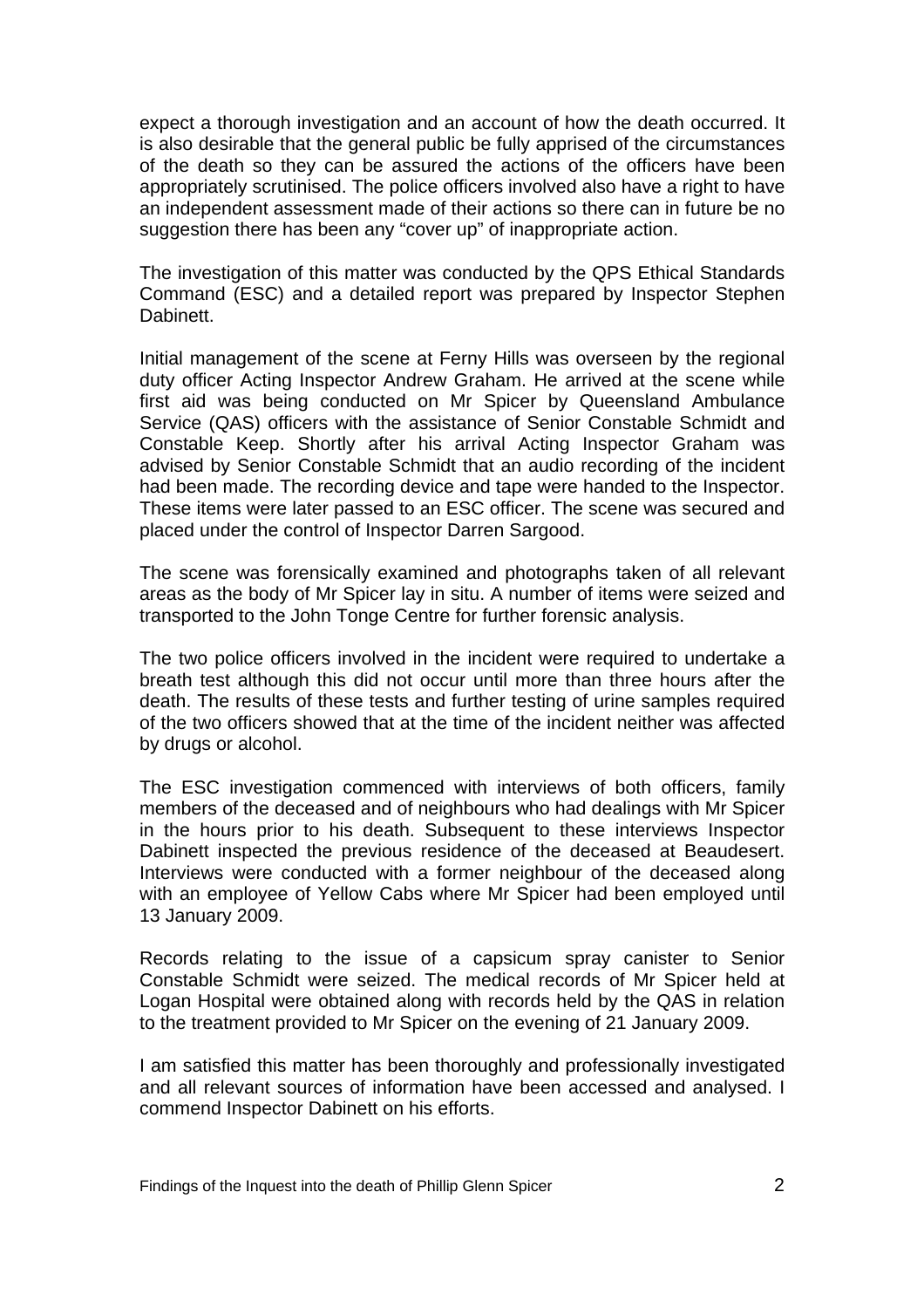expect a thorough investigation and an account of how the death occurred. It is also desirable that the general public be fully apprised of the circumstances of the death so they can be assured the actions of the officers have been appropriately scrutinised. The police officers involved also have a right to have an independent assessment made of their actions so there can in future be no suggestion there has been any "cover up" of inappropriate action.

The investigation of this matter was conducted by the QPS Ethical Standards Command (ESC) and a detailed report was prepared by Inspector Stephen **Dabinett** 

Initial management of the scene at Ferny Hills was overseen by the regional duty officer Acting Inspector Andrew Graham. He arrived at the scene while first aid was being conducted on Mr Spicer by Queensland Ambulance Service (QAS) officers with the assistance of Senior Constable Schmidt and Constable Keep. Shortly after his arrival Acting Inspector Graham was advised by Senior Constable Schmidt that an audio recording of the incident had been made. The recording device and tape were handed to the Inspector. These items were later passed to an ESC officer. The scene was secured and placed under the control of Inspector Darren Sargood.

The scene was forensically examined and photographs taken of all relevant areas as the body of Mr Spicer lay in situ. A number of items were seized and transported to the John Tonge Centre for further forensic analysis.

The two police officers involved in the incident were required to undertake a breath test although this did not occur until more than three hours after the death. The results of these tests and further testing of urine samples required of the two officers showed that at the time of the incident neither was affected by drugs or alcohol.

The ESC investigation commenced with interviews of both officers, family members of the deceased and of neighbours who had dealings with Mr Spicer in the hours prior to his death. Subsequent to these interviews Inspector Dabinett inspected the previous residence of the deceased at Beaudesert. Interviews were conducted with a former neighbour of the deceased along with an employee of Yellow Cabs where Mr Spicer had been employed until 13 January 2009.

Records relating to the issue of a capsicum spray canister to Senior Constable Schmidt were seized. The medical records of Mr Spicer held at Logan Hospital were obtained along with records held by the QAS in relation to the treatment provided to Mr Spicer on the evening of 21 January 2009.

I am satisfied this matter has been thoroughly and professionally investigated and all relevant sources of information have been accessed and analysed. I commend Inspector Dabinett on his efforts.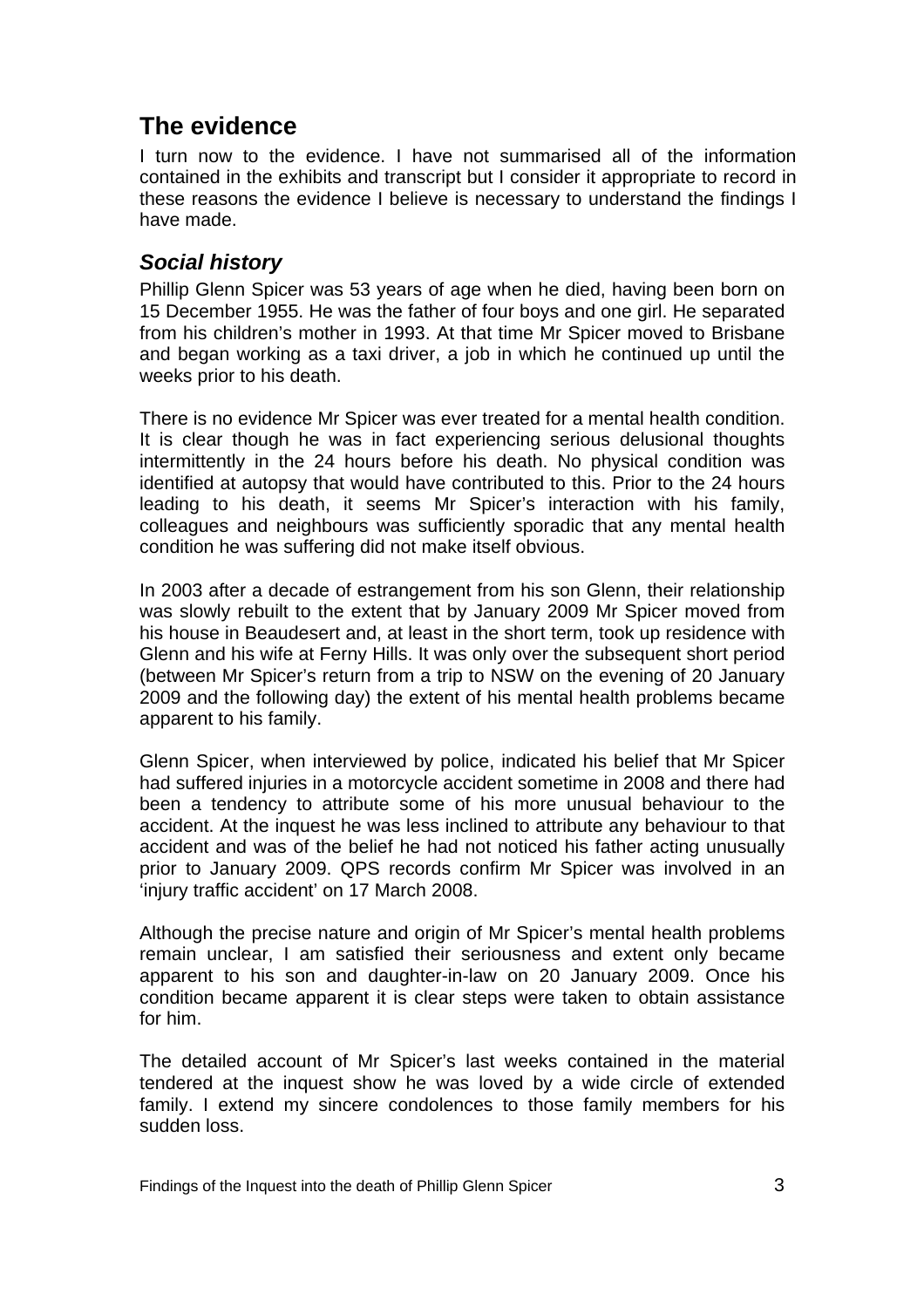# <span id="page-4-0"></span>**The evidence**

I turn now to the evidence. I have not summarised all of the information contained in the exhibits and transcript but I consider it appropriate to record in these reasons the evidence I believe is necessary to understand the findings I have made.

#### *Social history*

Phillip Glenn Spicer was 53 years of age when he died, having been born on 15 December 1955. He was the father of four boys and one girl. He separated from his children's mother in 1993. At that time Mr Spicer moved to Brisbane and began working as a taxi driver, a job in which he continued up until the weeks prior to his death.

There is no evidence Mr Spicer was ever treated for a mental health condition. It is clear though he was in fact experiencing serious delusional thoughts intermittently in the 24 hours before his death. No physical condition was identified at autopsy that would have contributed to this. Prior to the 24 hours leading to his death, it seems Mr Spicer's interaction with his family, colleagues and neighbours was sufficiently sporadic that any mental health condition he was suffering did not make itself obvious.

In 2003 after a decade of estrangement from his son Glenn, their relationship was slowly rebuilt to the extent that by January 2009 Mr Spicer moved from his house in Beaudesert and, at least in the short term, took up residence with Glenn and his wife at Ferny Hills. It was only over the subsequent short period (between Mr Spicer's return from a trip to NSW on the evening of 20 January 2009 and the following day) the extent of his mental health problems became apparent to his family.

Glenn Spicer, when interviewed by police, indicated his belief that Mr Spicer had suffered injuries in a motorcycle accident sometime in 2008 and there had been a tendency to attribute some of his more unusual behaviour to the accident. At the inquest he was less inclined to attribute any behaviour to that accident and was of the belief he had not noticed his father acting unusually prior to January 2009. QPS records confirm Mr Spicer was involved in an 'injury traffic accident' on 17 March 2008.

Although the precise nature and origin of Mr Spicer's mental health problems remain unclear, I am satisfied their seriousness and extent only became apparent to his son and daughter-in-law on 20 January 2009. Once his condition became apparent it is clear steps were taken to obtain assistance for him.

The detailed account of Mr Spicer's last weeks contained in the material tendered at the inquest show he was loved by a wide circle of extended family. I extend my sincere condolences to those family members for his sudden loss.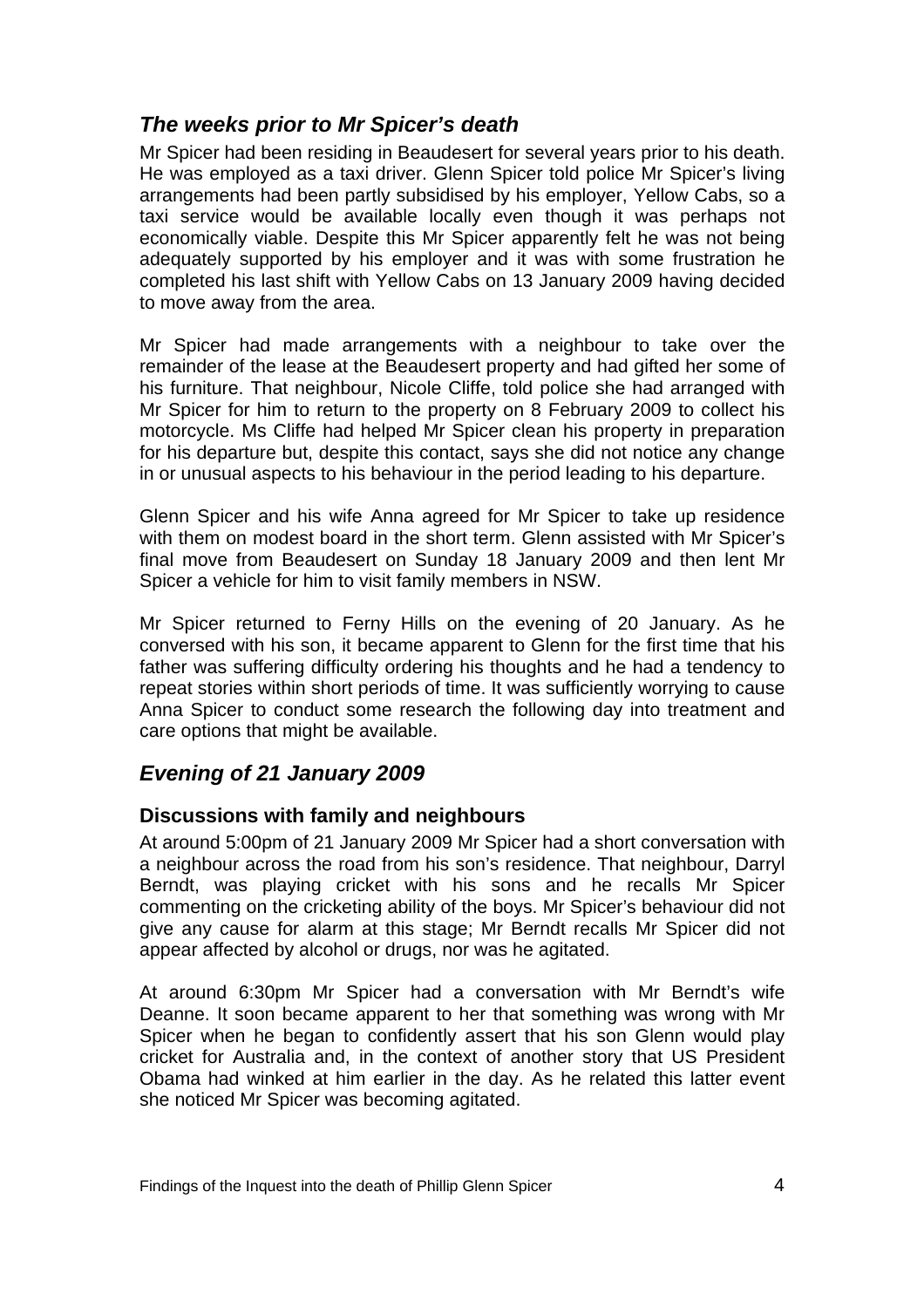#### <span id="page-5-0"></span>*The weeks prior to Mr Spicer's death*

Mr Spicer had been residing in Beaudesert for several years prior to his death. He was employed as a taxi driver. Glenn Spicer told police Mr Spicer's living arrangements had been partly subsidised by his employer, Yellow Cabs, so a taxi service would be available locally even though it was perhaps not economically viable. Despite this Mr Spicer apparently felt he was not being adequately supported by his employer and it was with some frustration he completed his last shift with Yellow Cabs on 13 January 2009 having decided to move away from the area.

Mr Spicer had made arrangements with a neighbour to take over the remainder of the lease at the Beaudesert property and had gifted her some of his furniture. That neighbour, Nicole Cliffe, told police she had arranged with Mr Spicer for him to return to the property on 8 February 2009 to collect his motorcycle. Ms Cliffe had helped Mr Spicer clean his property in preparation for his departure but, despite this contact, says she did not notice any change in or unusual aspects to his behaviour in the period leading to his departure.

Glenn Spicer and his wife Anna agreed for Mr Spicer to take up residence with them on modest board in the short term. Glenn assisted with Mr Spicer's final move from Beaudesert on Sunday 18 January 2009 and then lent Mr Spicer a vehicle for him to visit family members in NSW.

Mr Spicer returned to Ferny Hills on the evening of 20 January. As he conversed with his son, it became apparent to Glenn for the first time that his father was suffering difficulty ordering his thoughts and he had a tendency to repeat stories within short periods of time. It was sufficiently worrying to cause Anna Spicer to conduct some research the following day into treatment and care options that might be available.

### *Evening of 21 January 2009*

#### **Discussions with family and neighbours**

At around 5:00pm of 21 January 2009 Mr Spicer had a short conversation with a neighbour across the road from his son's residence. That neighbour, Darryl Berndt, was playing cricket with his sons and he recalls Mr Spicer commenting on the cricketing ability of the boys. Mr Spicer's behaviour did not give any cause for alarm at this stage; Mr Berndt recalls Mr Spicer did not appear affected by alcohol or drugs, nor was he agitated.

At around 6:30pm Mr Spicer had a conversation with Mr Berndt's wife Deanne. It soon became apparent to her that something was wrong with Mr Spicer when he began to confidently assert that his son Glenn would play cricket for Australia and, in the context of another story that US President Obama had winked at him earlier in the day. As he related this latter event she noticed Mr Spicer was becoming agitated.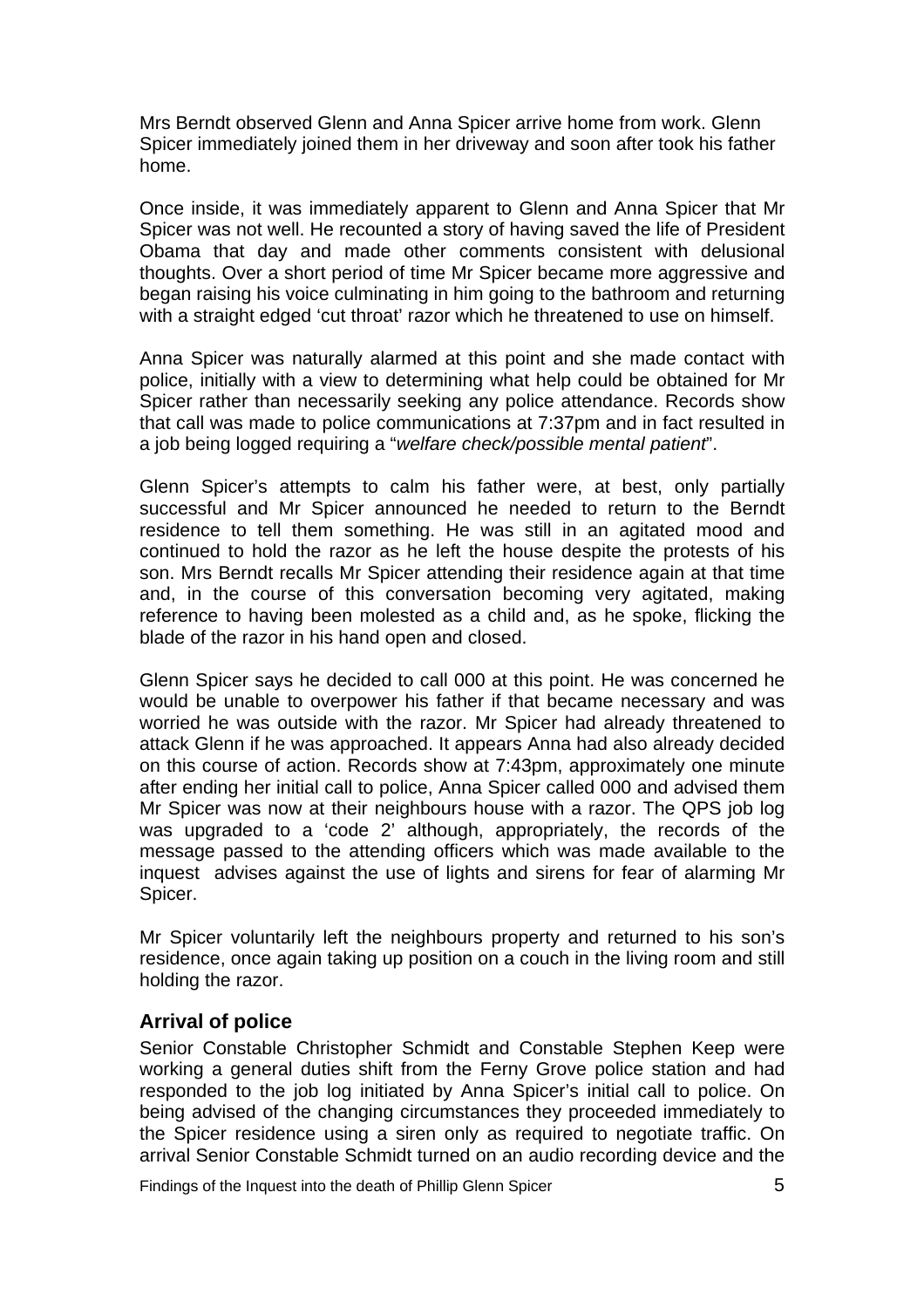<span id="page-6-0"></span>Mrs Berndt observed Glenn and Anna Spicer arrive home from work. Glenn Spicer immediately joined them in her driveway and soon after took his father home.

Once inside, it was immediately apparent to Glenn and Anna Spicer that Mr Spicer was not well. He recounted a story of having saved the life of President Obama that day and made other comments consistent with delusional thoughts. Over a short period of time Mr Spicer became more aggressive and began raising his voice culminating in him going to the bathroom and returning with a straight edged 'cut throat' razor which he threatened to use on himself.

Anna Spicer was naturally alarmed at this point and she made contact with police, initially with a view to determining what help could be obtained for Mr Spicer rather than necessarily seeking any police attendance. Records show that call was made to police communications at 7:37pm and in fact resulted in a job being logged requiring a "*welfare check/possible mental patient*".

Glenn Spicer's attempts to calm his father were, at best, only partially successful and Mr Spicer announced he needed to return to the Berndt residence to tell them something. He was still in an agitated mood and continued to hold the razor as he left the house despite the protests of his son. Mrs Berndt recalls Mr Spicer attending their residence again at that time and, in the course of this conversation becoming very agitated, making reference to having been molested as a child and, as he spoke, flicking the blade of the razor in his hand open and closed.

Glenn Spicer says he decided to call 000 at this point. He was concerned he would be unable to overpower his father if that became necessary and was worried he was outside with the razor. Mr Spicer had already threatened to attack Glenn if he was approached. It appears Anna had also already decided on this course of action. Records show at 7:43pm, approximately one minute after ending her initial call to police, Anna Spicer called 000 and advised them Mr Spicer was now at their neighbours house with a razor. The QPS job log was upgraded to a 'code 2' although, appropriately, the records of the message passed to the attending officers which was made available to the inquest advises against the use of lights and sirens for fear of alarming Mr Spicer.

Mr Spicer voluntarily left the neighbours property and returned to his son's residence, once again taking up position on a couch in the living room and still holding the razor.

#### **Arrival of police**

Senior Constable Christopher Schmidt and Constable Stephen Keep were working a general duties shift from the Ferny Grove police station and had responded to the job log initiated by Anna Spicer's initial call to police. On being advised of the changing circumstances they proceeded immediately to the Spicer residence using a siren only as required to negotiate traffic. On arrival Senior Constable Schmidt turned on an audio recording device and the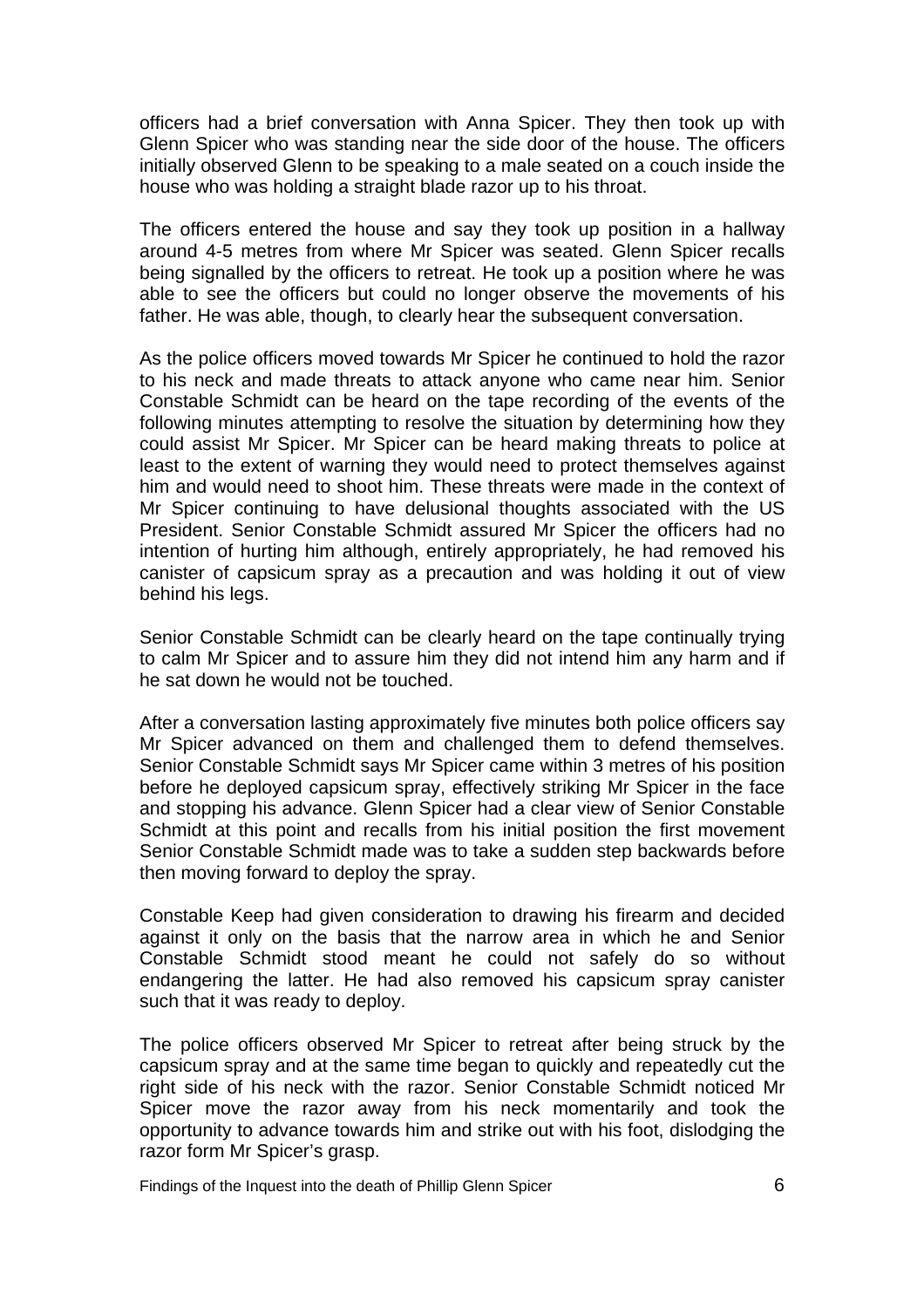officers had a brief conversation with Anna Spicer. They then took up with Glenn Spicer who was standing near the side door of the house. The officers initially observed Glenn to be speaking to a male seated on a couch inside the house who was holding a straight blade razor up to his throat.

The officers entered the house and say they took up position in a hallway around 4-5 metres from where Mr Spicer was seated. Glenn Spicer recalls being signalled by the officers to retreat. He took up a position where he was able to see the officers but could no longer observe the movements of his father. He was able, though, to clearly hear the subsequent conversation.

As the police officers moved towards Mr Spicer he continued to hold the razor to his neck and made threats to attack anyone who came near him. Senior Constable Schmidt can be heard on the tape recording of the events of the following minutes attempting to resolve the situation by determining how they could assist Mr Spicer. Mr Spicer can be heard making threats to police at least to the extent of warning they would need to protect themselves against him and would need to shoot him. These threats were made in the context of Mr Spicer continuing to have delusional thoughts associated with the US President. Senior Constable Schmidt assured Mr Spicer the officers had no intention of hurting him although, entirely appropriately, he had removed his canister of capsicum spray as a precaution and was holding it out of view behind his legs.

Senior Constable Schmidt can be clearly heard on the tape continually trying to calm Mr Spicer and to assure him they did not intend him any harm and if he sat down he would not be touched.

After a conversation lasting approximately five minutes both police officers say Mr Spicer advanced on them and challenged them to defend themselves. Senior Constable Schmidt says Mr Spicer came within 3 metres of his position before he deployed capsicum spray, effectively striking Mr Spicer in the face and stopping his advance. Glenn Spicer had a clear view of Senior Constable Schmidt at this point and recalls from his initial position the first movement Senior Constable Schmidt made was to take a sudden step backwards before then moving forward to deploy the spray.

Constable Keep had given consideration to drawing his firearm and decided against it only on the basis that the narrow area in which he and Senior Constable Schmidt stood meant he could not safely do so without endangering the latter. He had also removed his capsicum spray canister such that it was ready to deploy.

The police officers observed Mr Spicer to retreat after being struck by the capsicum spray and at the same time began to quickly and repeatedly cut the right side of his neck with the razor. Senior Constable Schmidt noticed Mr Spicer move the razor away from his neck momentarily and took the opportunity to advance towards him and strike out with his foot, dislodging the razor form Mr Spicer's grasp.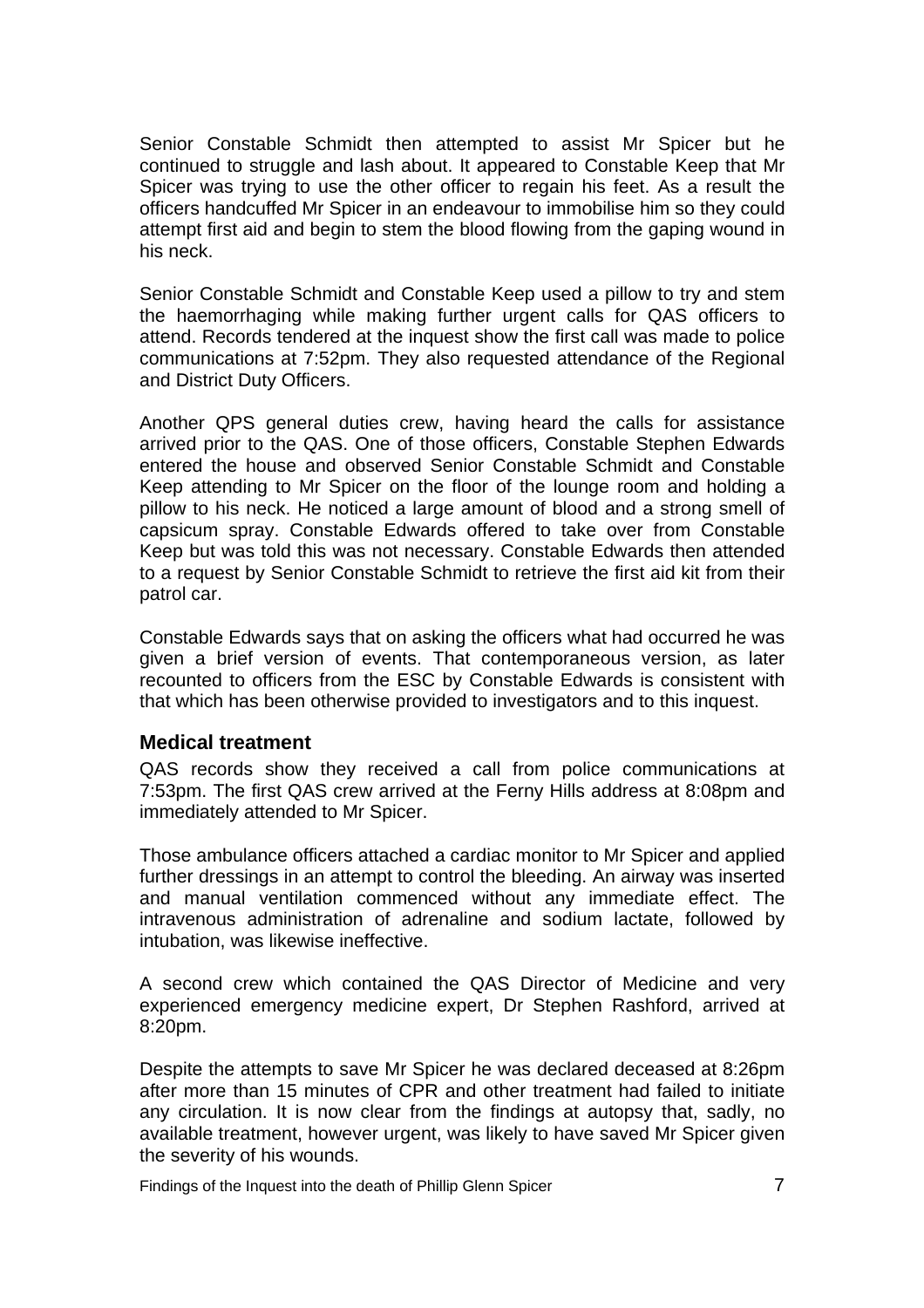<span id="page-8-0"></span>Senior Constable Schmidt then attempted to assist Mr Spicer but he continued to struggle and lash about. It appeared to Constable Keep that Mr Spicer was trying to use the other officer to regain his feet. As a result the officers handcuffed Mr Spicer in an endeavour to immobilise him so they could attempt first aid and begin to stem the blood flowing from the gaping wound in his neck.

Senior Constable Schmidt and Constable Keep used a pillow to try and stem the haemorrhaging while making further urgent calls for QAS officers to attend. Records tendered at the inquest show the first call was made to police communications at 7:52pm. They also requested attendance of the Regional and District Duty Officers.

Another QPS general duties crew, having heard the calls for assistance arrived prior to the QAS. One of those officers, Constable Stephen Edwards entered the house and observed Senior Constable Schmidt and Constable Keep attending to Mr Spicer on the floor of the lounge room and holding a pillow to his neck. He noticed a large amount of blood and a strong smell of capsicum spray. Constable Edwards offered to take over from Constable Keep but was told this was not necessary. Constable Edwards then attended to a request by Senior Constable Schmidt to retrieve the first aid kit from their patrol car.

Constable Edwards says that on asking the officers what had occurred he was given a brief version of events. That contemporaneous version, as later recounted to officers from the ESC by Constable Edwards is consistent with that which has been otherwise provided to investigators and to this inquest.

#### **Medical treatment**

QAS records show they received a call from police communications at 7:53pm. The first QAS crew arrived at the Ferny Hills address at 8:08pm and immediately attended to Mr Spicer.

Those ambulance officers attached a cardiac monitor to Mr Spicer and applied further dressings in an attempt to control the bleeding. An airway was inserted and manual ventilation commenced without any immediate effect. The intravenous administration of adrenaline and sodium lactate, followed by intubation, was likewise ineffective.

A second crew which contained the QAS Director of Medicine and very experienced emergency medicine expert, Dr Stephen Rashford, arrived at 8:20pm.

Despite the attempts to save Mr Spicer he was declared deceased at 8:26pm after more than 15 minutes of CPR and other treatment had failed to initiate any circulation. It is now clear from the findings at autopsy that, sadly, no available treatment, however urgent, was likely to have saved Mr Spicer given the severity of his wounds.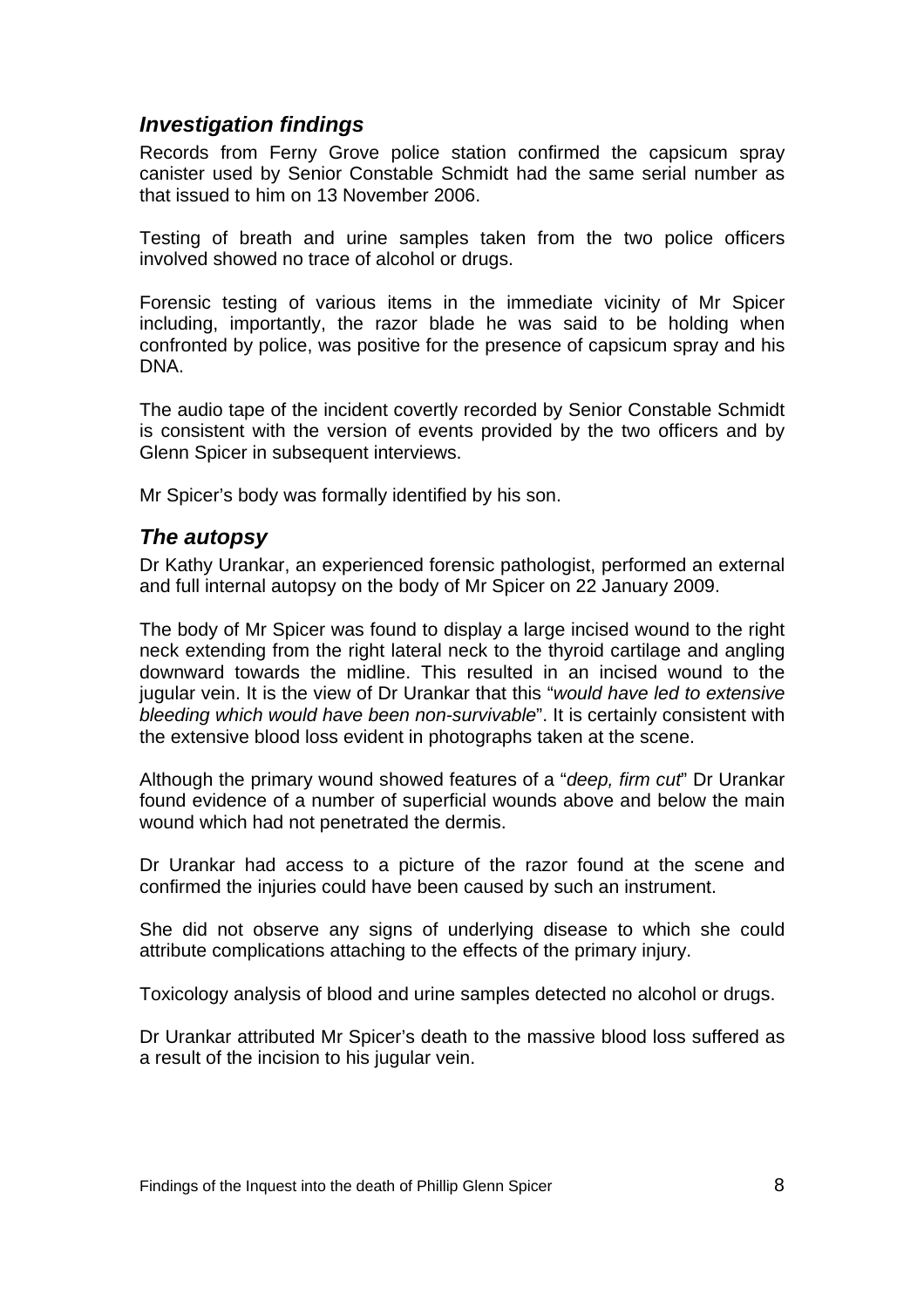#### <span id="page-9-0"></span>*Investigation findings*

Records from Ferny Grove police station confirmed the capsicum spray canister used by Senior Constable Schmidt had the same serial number as that issued to him on 13 November 2006.

Testing of breath and urine samples taken from the two police officers involved showed no trace of alcohol or drugs.

Forensic testing of various items in the immediate vicinity of Mr Spicer including, importantly, the razor blade he was said to be holding when confronted by police, was positive for the presence of capsicum spray and his DNA.

The audio tape of the incident covertly recorded by Senior Constable Schmidt is consistent with the version of events provided by the two officers and by Glenn Spicer in subsequent interviews.

Mr Spicer's body was formally identified by his son.

#### *The autopsy*

Dr Kathy Urankar, an experienced forensic pathologist, performed an external and full internal autopsy on the body of Mr Spicer on 22 January 2009.

The body of Mr Spicer was found to display a large incised wound to the right neck extending from the right lateral neck to the thyroid cartilage and angling downward towards the midline. This resulted in an incised wound to the jugular vein. It is the view of Dr Urankar that this "*would have led to extensive bleeding which would have been non-survivable*". It is certainly consistent with the extensive blood loss evident in photographs taken at the scene.

Although the primary wound showed features of a "*deep, firm cut*" Dr Urankar found evidence of a number of superficial wounds above and below the main wound which had not penetrated the dermis.

Dr Urankar had access to a picture of the razor found at the scene and confirmed the injuries could have been caused by such an instrument.

She did not observe any signs of underlying disease to which she could attribute complications attaching to the effects of the primary injury.

Toxicology analysis of blood and urine samples detected no alcohol or drugs.

Dr Urankar attributed Mr Spicer's death to the massive blood loss suffered as a result of the incision to his jugular vein.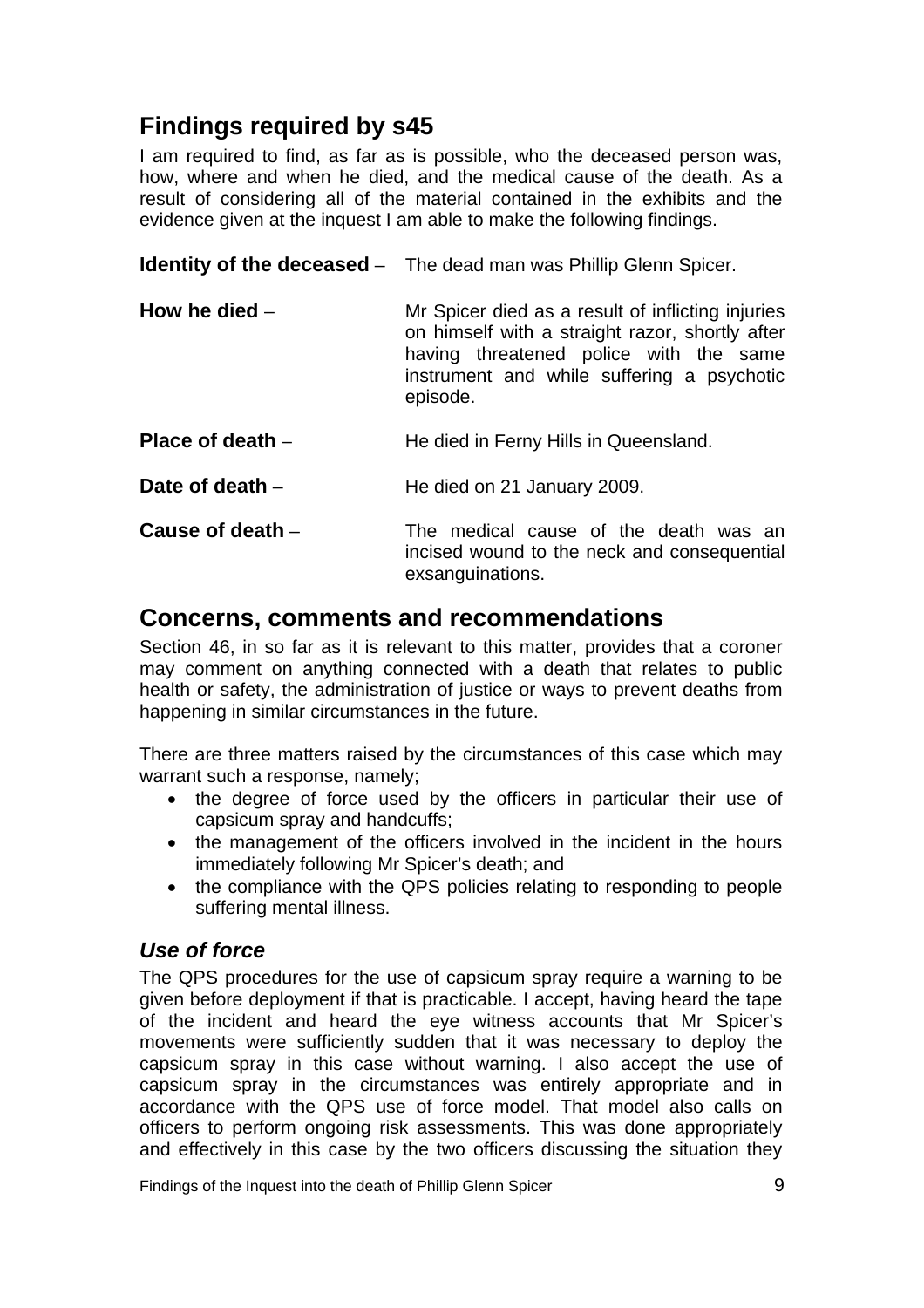# <span id="page-10-0"></span>**Findings required by s45**

I am required to find, as far as is possible, who the deceased person was, how, where and when he died, and the medical cause of the death. As a result of considering all of the material contained in the exhibits and the evidence given at the inquest I am able to make the following findings.

**Identity of the deceased** – The dead man was Phillip Glenn Spicer.

| How he died $-$ | Mr Spicer died as a result of inflicting injuries<br>on himself with a straight razor, shortly after<br>having threatened police with the same<br>instrument and while suffering a psychotic<br>episode. |
|-----------------|----------------------------------------------------------------------------------------------------------------------------------------------------------------------------------------------------------|
|                 |                                                                                                                                                                                                          |

- **Place of death** He died in Ferny Hills in Queensland.
- **Date of death He died on 21 January 2009.**
- **Cause of death** The medical cause of the death was an incised wound to the neck and consequential exsanguinations.

### **Concerns, comments and recommendations**

Section 46, in so far as it is relevant to this matter, provides that a coroner may comment on anything connected with a death that relates to public health or safety, the administration of justice or ways to prevent deaths from happening in similar circumstances in the future.

There are three matters raised by the circumstances of this case which may warrant such a response, namely;

- the degree of force used by the officers in particular their use of capsicum spray and handcuffs;
- the management of the officers involved in the incident in the hours immediately following Mr Spicer's death; and
- the compliance with the QPS policies relating to responding to people suffering mental illness.

#### *Use of force*

The QPS procedures for the use of capsicum spray require a warning to be given before deployment if that is practicable. I accept, having heard the tape of the incident and heard the eye witness accounts that Mr Spicer's movements were sufficiently sudden that it was necessary to deploy the capsicum spray in this case without warning. I also accept the use of capsicum spray in the circumstances was entirely appropriate and in accordance with the QPS use of force model. That model also calls on officers to perform ongoing risk assessments. This was done appropriately and effectively in this case by the two officers discussing the situation they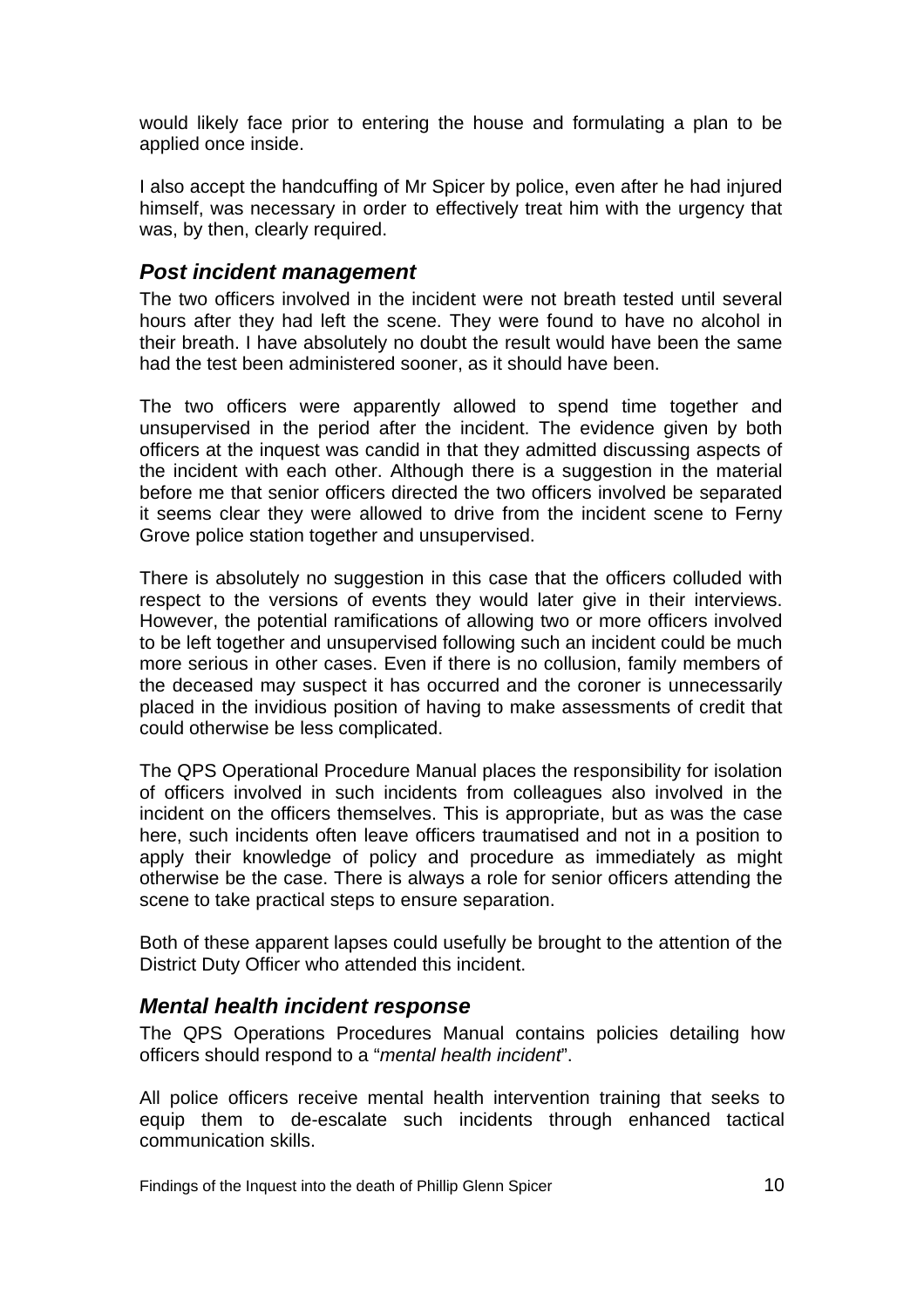<span id="page-11-0"></span>would likely face prior to entering the house and formulating a plan to be applied once inside.

I also accept the handcuffing of Mr Spicer by police, even after he had injured himself, was necessary in order to effectively treat him with the urgency that was, by then, clearly required.

#### *Post incident management*

The two officers involved in the incident were not breath tested until several hours after they had left the scene. They were found to have no alcohol in their breath. I have absolutely no doubt the result would have been the same had the test been administered sooner, as it should have been.

The two officers were apparently allowed to spend time together and unsupervised in the period after the incident. The evidence given by both officers at the inquest was candid in that they admitted discussing aspects of the incident with each other. Although there is a suggestion in the material before me that senior officers directed the two officers involved be separated it seems clear they were allowed to drive from the incident scene to Ferny Grove police station together and unsupervised.

There is absolutely no suggestion in this case that the officers colluded with respect to the versions of events they would later give in their interviews. However, the potential ramifications of allowing two or more officers involved to be left together and unsupervised following such an incident could be much more serious in other cases. Even if there is no collusion, family members of the deceased may suspect it has occurred and the coroner is unnecessarily placed in the invidious position of having to make assessments of credit that could otherwise be less complicated.

The QPS Operational Procedure Manual places the responsibility for isolation of officers involved in such incidents from colleagues also involved in the incident on the officers themselves. This is appropriate, but as was the case here, such incidents often leave officers traumatised and not in a position to apply their knowledge of policy and procedure as immediately as might otherwise be the case. There is always a role for senior officers attending the scene to take practical steps to ensure separation.

Both of these apparent lapses could usefully be brought to the attention of the District Duty Officer who attended this incident.

#### *Mental health incident response*

The QPS Operations Procedures Manual contains policies detailing how officers should respond to a "*mental health incident*".

All police officers receive mental health intervention training that seeks to equip them to de-escalate such incidents through enhanced tactical communication skills.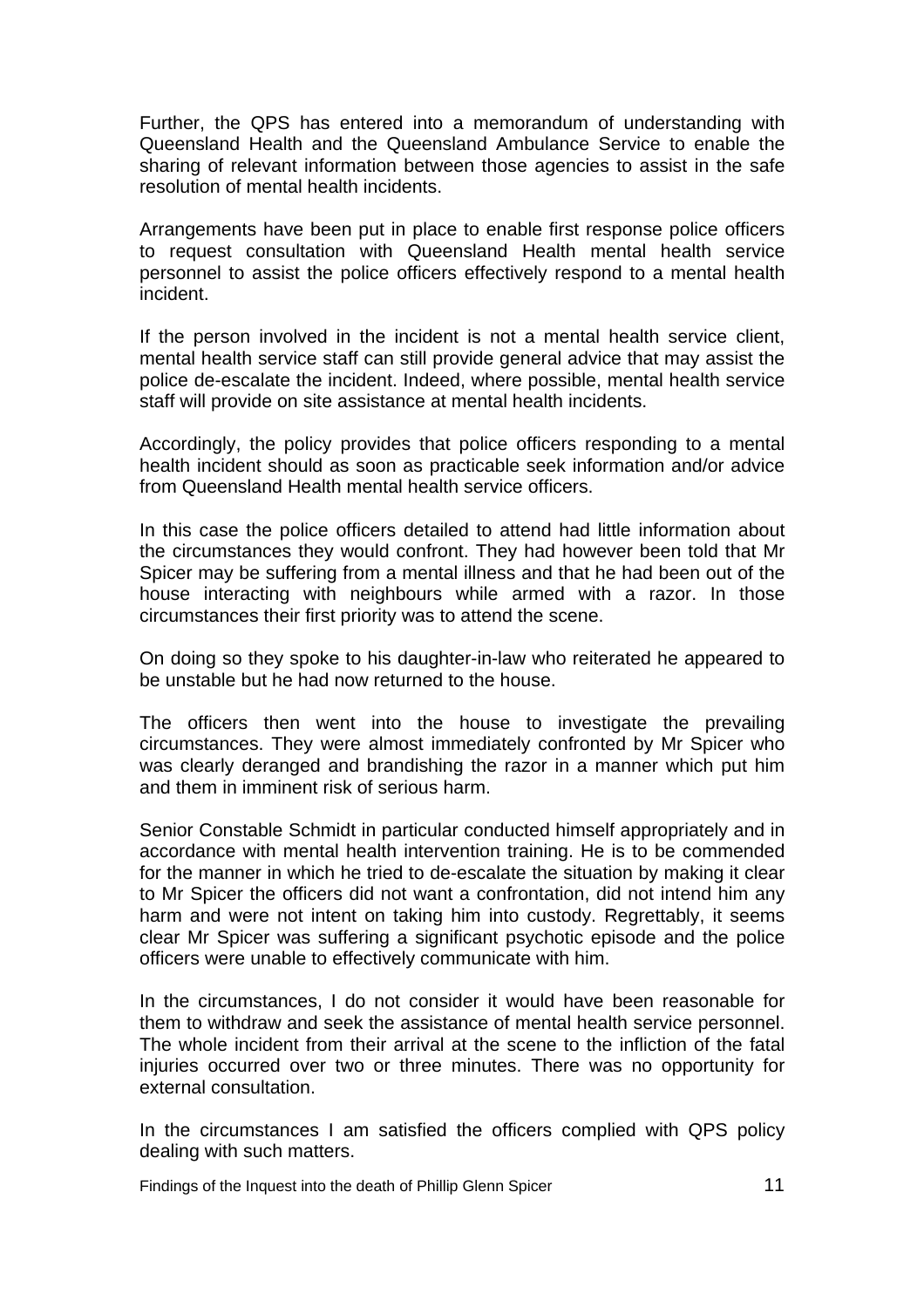Further, the QPS has entered into a memorandum of understanding with Queensland Health and the Queensland Ambulance Service to enable the sharing of relevant information between those agencies to assist in the safe resolution of mental health incidents.

Arrangements have been put in place to enable first response police officers to request consultation with Queensland Health mental health service personnel to assist the police officers effectively respond to a mental health incident.

If the person involved in the incident is not a mental health service client, mental health service staff can still provide general advice that may assist the police de-escalate the incident. Indeed, where possible, mental health service staff will provide on site assistance at mental health incidents.

Accordingly, the policy provides that police officers responding to a mental health incident should as soon as practicable seek information and/or advice from Queensland Health mental health service officers.

In this case the police officers detailed to attend had little information about the circumstances they would confront. They had however been told that Mr Spicer may be suffering from a mental illness and that he had been out of the house interacting with neighbours while armed with a razor. In those circumstances their first priority was to attend the scene.

On doing so they spoke to his daughter-in-law who reiterated he appeared to be unstable but he had now returned to the house.

The officers then went into the house to investigate the prevailing circumstances. They were almost immediately confronted by Mr Spicer who was clearly deranged and brandishing the razor in a manner which put him and them in imminent risk of serious harm.

Senior Constable Schmidt in particular conducted himself appropriately and in accordance with mental health intervention training. He is to be commended for the manner in which he tried to de-escalate the situation by making it clear to Mr Spicer the officers did not want a confrontation, did not intend him any harm and were not intent on taking him into custody. Regrettably, it seems clear Mr Spicer was suffering a significant psychotic episode and the police officers were unable to effectively communicate with him.

In the circumstances, I do not consider it would have been reasonable for them to withdraw and seek the assistance of mental health service personnel. The whole incident from their arrival at the scene to the infliction of the fatal injuries occurred over two or three minutes. There was no opportunity for external consultation.

In the circumstances I am satisfied the officers complied with QPS policy dealing with such matters.

Findings of the Inquest into the death of Phillip Glenn Spicer 11